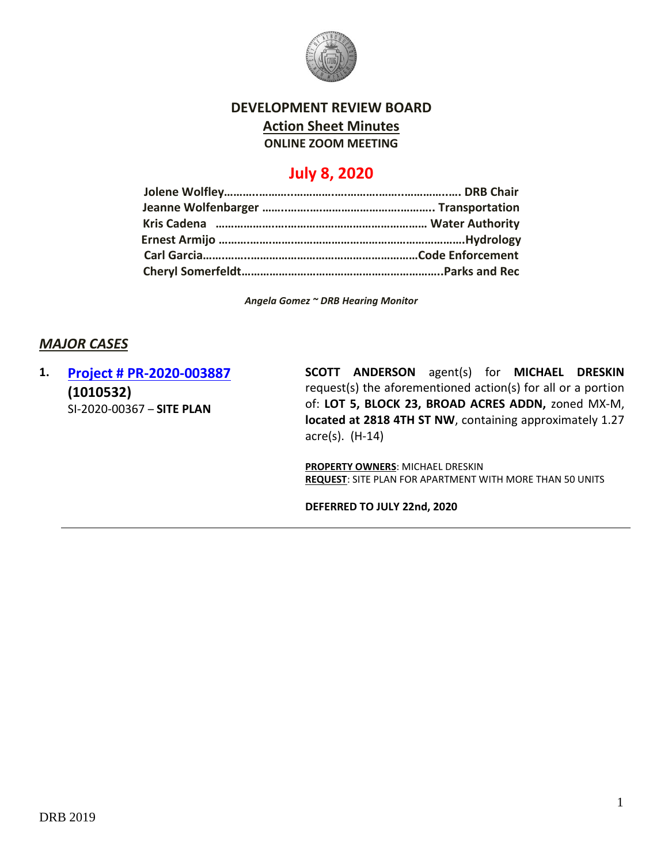

### **DEVELOPMENT REVIEW BOARD Action Sheet Minutes ONLINE ZOOM MEETING**

# **July 8, 2020**

*Angela Gomez ~ DRB Hearing Monitor*

# *MAJOR CASES*

# **1. [Project # PR-2020-003887](http://data.cabq.gov/government/planning/DRB/PR-2020-003887/DRB%20Submittals/PR-2020-003887_Jul_08_2020/Application/) (1010532)** SI-2020-00367 – **SITE PLAN**

**SCOTT ANDERSON** agent(s) for **MICHAEL DRESKIN** request(s) the aforementioned action(s) for all or a portion of: **LOT 5, BLOCK 23, BROAD ACRES ADDN,** zoned MX-M, **located at 2818 4TH ST NW**, containing approximately 1.27 acre(s). (H-14)

**PROPERTY OWNERS**: MICHAEL DRESKIN **REQUEST**: SITE PLAN FOR APARTMENT WITH MORE THAN 50 UNITS

**DEFERRED TO JULY 22nd, 2020**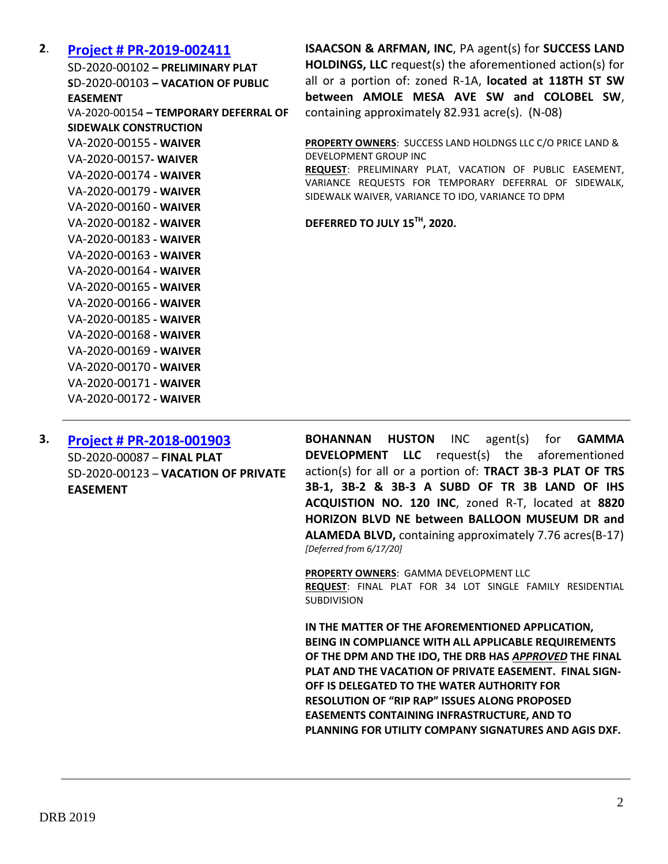#### **2**. **[Project # PR-2019-002411](http://data.cabq.gov/government/planning/DRB/PR-2019-002411/DRB%20Submittals/PR-2019-002411_Jul_08_2020/Application/)**

SD-2020-00102 **– PRELIMINARY PLAT S**D-2020-00103 **– VACATION OF PUBLIC EASEMENT** VA-2020-00154 **– TEMPORARY DEFERRAL OF SIDEWALK CONSTRUCTION** VA-2020-00155 **- WAIVER** VA-2020-00157**- WAIVER** VA-2020-00174 **- WAIVER** VA-2020-00179 **- WAIVER** VA-2020-00160 **- WAIVER** VA-2020-00182 **- WAIVER** VA-2020-00183 **- WAIVER** VA-2020-00163 **- WAIVER** VA-2020-00164 **- WAIVER** VA-2020-00165 **- WAIVER** VA-2020-00166 **- WAIVER** VA-2020-00185 **- WAIVER** VA-2020-00168 **- WAIVER** VA-2020-00169 **- WAIVER** VA-2020-00170 **- WAIVER** VA-2020-00171 **- WAIVER** VA-2020-00172 **- WAIVER**

**3. [Project # PR-2018-001903](http://data.cabq.gov/government/planning/DRB/PR-2018-001903/DRB%20Submittals/PR-2018-001903_June_17_2020/Application/Ascension%20SubdivisionFinal%20Plat%20DRB%20Submittal%20Package.pdf)** SD-2020-00087 – **FINAL PLAT** SD-2020-00123 – **VACATION OF PRIVATE EASEMENT**

**ISAACSON & ARFMAN, INC**, PA agent(s) for **SUCCESS LAND HOLDINGS, LLC** request(s) the aforementioned action(s) for all or a portion of: zoned R-1A, **located at 118TH ST SW between AMOLE MESA AVE SW and COLOBEL SW**, containing approximately 82.931 acre(s). (N-08)

**PROPERTY OWNERS**: SUCCESS LAND HOLDNGS LLC C/O PRICE LAND & DEVELOPMENT GROUP INC

**REQUEST**: PRELIMINARY PLAT, VACATION OF PUBLIC EASEMENT, VARIANCE REQUESTS FOR TEMPORARY DEFERRAL OF SIDEWALK, SIDEWALK WAIVER, VARIANCE TO IDO, VARIANCE TO DPM

**DEFERRED TO JULY 15TH, 2020.**

**BOHANNAN HUSTON** INC agent(s) for **GAMMA DEVELOPMENT LLC** request(s) the aforementioned action(s) for all or a portion of: **TRACT 3B-3 PLAT OF TRS 3B-1, 3B-2 & 3B-3 A SUBD OF TR 3B LAND OF IHS ACQUISTION NO. 120 INC**, zoned R-T, located at **8820 HORIZON BLVD NE between BALLOON MUSEUM DR and ALAMEDA BLVD,** containing approximately 7.76 acres(B-17) *[Deferred from 6/17/20]*

**PROPERTY OWNERS**: GAMMA DEVELOPMENT LLC **REQUEST**: FINAL PLAT FOR 34 LOT SINGLE FAMILY RESIDENTIAL SUBDIVISION

**IN THE MATTER OF THE AFOREMENTIONED APPLICATION, BEING IN COMPLIANCE WITH ALL APPLICABLE REQUIREMENTS OF THE DPM AND THE IDO, THE DRB HAS** *APPROVED* **THE FINAL PLAT AND THE VACATION OF PRIVATE EASEMENT. FINAL SIGN-OFF IS DELEGATED TO THE WATER AUTHORITY FOR RESOLUTION OF "RIP RAP" ISSUES ALONG PROPOSED EASEMENTS CONTAINING INFRASTRUCTURE, AND TO PLANNING FOR UTILITY COMPANY SIGNATURES AND AGIS DXF.**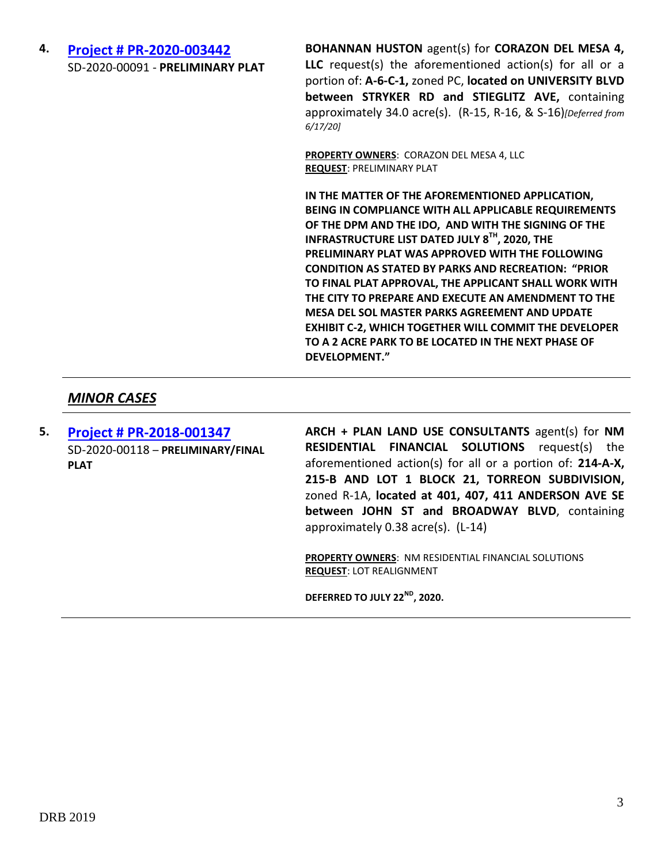### **4. [Project # PR-2020-003442](http://data.cabq.gov/government/planning/DRB/PR-2020-003442/DRB%20Submittals/PR-2020-003442_Jun_17_2020/Application/)** SD-2020-00091 - **PRELIMINARY PLAT**

**BOHANNAN HUSTON** agent(s) for **CORAZON DEL MESA 4, LLC** request(s) the aforementioned action(s) for all or a portion of: **A-6-C-1,** zoned PC, **located on UNIVERSITY BLVD between STRYKER RD and STIEGLITZ AVE,** containing approximately 34.0 acre(s). (R-15, R-16, & S-16)*[Deferred from 6/17/20]*

**PROPERTY OWNERS**: CORAZON DEL MESA 4, LLC **REQUEST**: PRELIMINARY PLAT

**IN THE MATTER OF THE AFOREMENTIONED APPLICATION, BEING IN COMPLIANCE WITH ALL APPLICABLE REQUIREMENTS OF THE DPM AND THE IDO, AND WITH THE SIGNING OF THE INFRASTRUCTURE LIST DATED JULY 8TH, 2020, THE PRELIMINARY PLAT WAS APPROVED WITH THE FOLLOWING CONDITION AS STATED BY PARKS AND RECREATION: "PRIOR TO FINAL PLAT APPROVAL, THE APPLICANT SHALL WORK WITH THE CITY TO PREPARE AND EXECUTE AN AMENDMENT TO THE MESA DEL SOL MASTER PARKS AGREEMENT AND UPDATE EXHIBIT C-2, WHICH TOGETHER WILL COMMIT THE DEVELOPER TO A 2 ACRE PARK TO BE LOCATED IN THE NEXT PHASE OF DEVELOPMENT."**

## *MINOR CASES*

**5. [Project # PR-2018-001347](http://data.cabq.gov/government/planning/DRB/PR-2018-001347/DRB%20Submittals/PR-2018-001347_Jul_08_2020/Application/DRB%20P&F%20Arch%20Plan%20PR-2019-001347%20signed%20copy.pdf)** SD-2020-00118 – **PRELIMINARY/FINAL PLAT**

**ARCH + PLAN LAND USE CONSULTANTS** agent(s) for **NM RESIDENTIAL FINANCIAL SOLUTIONS** request(s) the aforementioned action(s) for all or a portion of: **214-A-X, 215-B AND LOT 1 BLOCK 21, TORREON SUBDIVISION,**  zoned R-1A, **located at 401, 407, 411 ANDERSON AVE SE between JOHN ST and BROADWAY BLVD**, containing approximately 0.38 acre(s). (L-14)

**PROPERTY OWNERS**: NM RESIDENTIAL FINANCIAL SOLUTIONS **REQUEST**: LOT REALIGNMENT

**DEFERRED TO JULY 22ND, 2020.**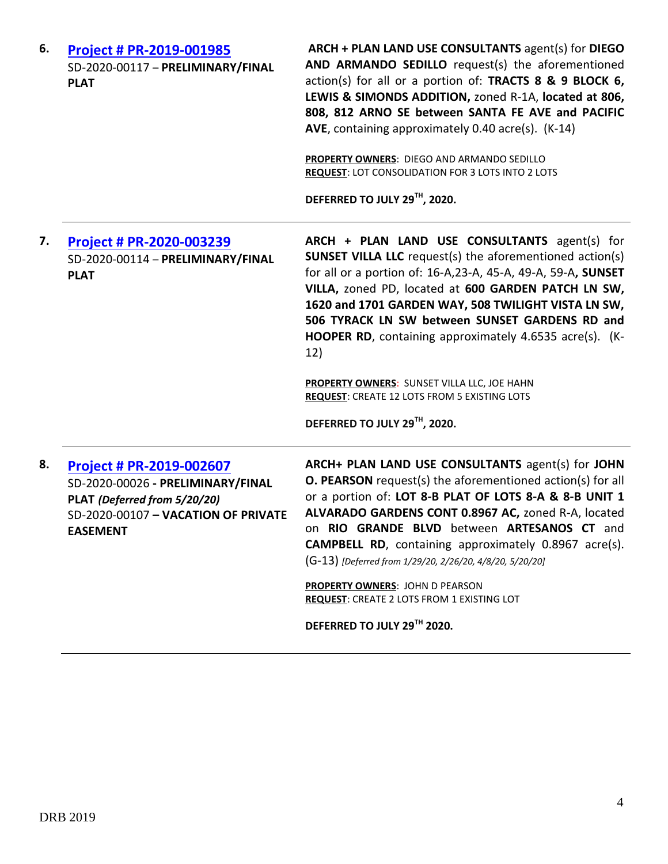| 6. | Project # PR-2019-001985<br>SD-2020-00117 - PRELIMINARY/FINAL<br><b>PLAT</b>                                                                            | ARCH + PLAN LAND USE CONSULTANTS agent(s) for DIEGO<br>AND ARMANDO SEDILLO request(s) the aforementioned<br>action(s) for all or a portion of: TRACTS 8 & 9 BLOCK 6,<br>LEWIS & SIMONDS ADDITION, zoned R-1A, located at 806,<br>808, 812 ARNO SE between SANTA FE AVE and PACIFIC<br>AVE, containing approximately 0.40 acre(s). (K-14)<br>PROPERTY OWNERS: DIEGO AND ARMANDO SEDILLO<br><b>REQUEST: LOT CONSOLIDATION FOR 3 LOTS INTO 2 LOTS</b><br>DEFERRED TO JULY 29TH, 2020.                                                                        |
|----|---------------------------------------------------------------------------------------------------------------------------------------------------------|-----------------------------------------------------------------------------------------------------------------------------------------------------------------------------------------------------------------------------------------------------------------------------------------------------------------------------------------------------------------------------------------------------------------------------------------------------------------------------------------------------------------------------------------------------------|
| 7. | Project # PR-2020-003239<br>SD-2020-00114 - PRELIMINARY/FINAL<br><b>PLAT</b>                                                                            | ARCH + PLAN LAND USE CONSULTANTS agent(s) for<br><b>SUNSET VILLA LLC</b> request(s) the aforementioned action(s)<br>for all or a portion of: 16-A, 23-A, 45-A, 49-A, 59-A, SUNSET<br>VILLA, zoned PD, located at 600 GARDEN PATCH LN SW,<br>1620 and 1701 GARDEN WAY, 508 TWILIGHT VISTA LN SW,<br>506 TYRACK LN SW between SUNSET GARDENS RD and<br>HOOPER RD, containing approximately 4.6535 acre(s). (K-<br>12)<br>PROPERTY OWNERS: SUNSET VILLA LLC, JOE HAHN<br><b>REQUEST: CREATE 12 LOTS FROM 5 EXISTING LOTS</b><br>DEFERRED TO JULY 29TH, 2020. |
| 8. | <b>Project # PR-2019-002607</b><br>SD-2020-00026 - PRELIMINARY/FINAL<br>PLAT (Deferred from 5/20/20)<br>SD-2020-00107 - VACATION OF PRIVATE<br>EASEMENT | ARCH+ PLAN LAND USE CONSULTANTS agent(s) for JOHN<br><b>O. PEARSON</b> request(s) the aforementioned action(s) for all<br>or a portion of: LOT 8-B PLAT OF LOTS 8-A & 8-B UNIT 1<br>ALVARADO GARDENS CONT 0.8967 AC, zoned R-A, located<br>on RIO GRANDE BLVD between ARTESANOS CT and<br><b>CAMPBELL RD</b> , containing approximately 0.8967 acre(s).<br>(G-13) [Deferred from 1/29/20, 2/26/20, 4/8/20, 5/20/20]<br>PROPERTY OWNERS: JOHN D PEARSON<br>REQUEST: CREATE 2 LOTS FROM 1 EXISTING LOT<br>DEFERRED TO JULY 29TH 2020.                       |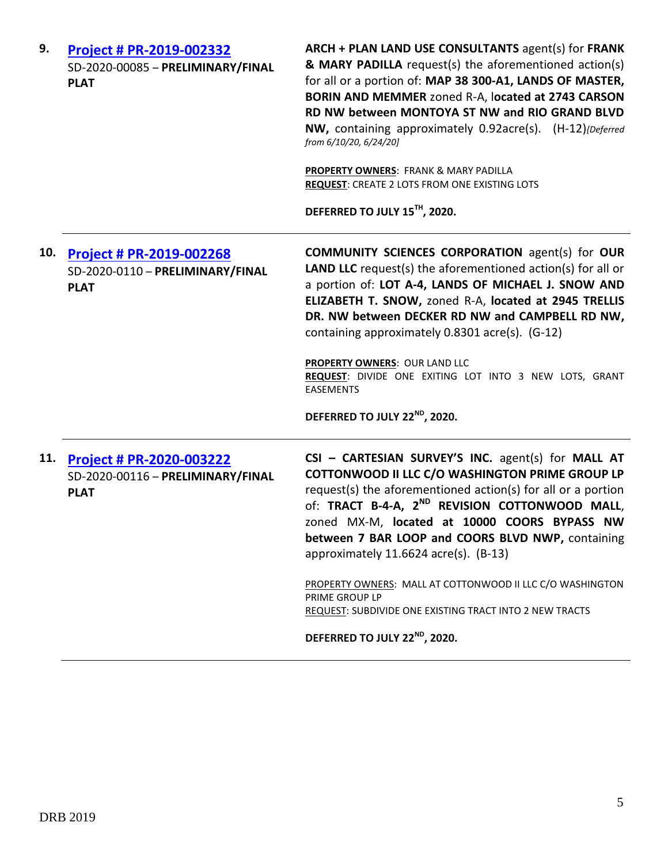| 9.  | Project # PR-2019-002332<br>SD-2020-00085 - PRELIMINARY/FINAL<br><b>PLAT</b> | ARCH + PLAN LAND USE CONSULTANTS agent(s) for FRANK<br>& MARY PADILLA request(s) the aforementioned action(s)<br>for all or a portion of: MAP 38 300-A1, LANDS OF MASTER,<br>BORIN AND MEMMER zoned R-A, located at 2743 CARSON<br>RD NW between MONTOYA ST NW and RIO GRAND BLVD<br>NW, containing approximately 0.92acre(s). (H-12){Deferred<br>from 6/10/20, 6/24/20]<br>PROPERTY OWNERS: FRANK & MARY PADILLA<br>REQUEST: CREATE 2 LOTS FROM ONE EXISTING LOTS<br>DEFERRED TO JULY 15TH, 2020.                                                                       |
|-----|------------------------------------------------------------------------------|--------------------------------------------------------------------------------------------------------------------------------------------------------------------------------------------------------------------------------------------------------------------------------------------------------------------------------------------------------------------------------------------------------------------------------------------------------------------------------------------------------------------------------------------------------------------------|
| 10. | Project # PR-2019-002268<br>SD-2020-0110 - PRELIMINARY/FINAL<br><b>PLAT</b>  | <b>COMMUNITY SCIENCES CORPORATION agent(s) for OUR</b><br><b>LAND LLC</b> request(s) the aforementioned action(s) for all or<br>a portion of: LOT A-4, LANDS OF MICHAEL J. SNOW AND<br>ELIZABETH T. SNOW, zoned R-A, located at 2945 TRELLIS<br>DR. NW between DECKER RD NW and CAMPBELL RD NW,<br>containing approximately 0.8301 acre(s). (G-12)<br><b>PROPERTY OWNERS: OUR LAND LLC</b><br>REQUEST: DIVIDE ONE EXITING LOT INTO 3 NEW LOTS, GRANT<br><b>EASEMENTS</b><br>DEFERRED TO JULY 22 <sup>ND</sup> , 2020.                                                    |
| 11. | Project # PR-2020-003222<br>SD-2020-00116 - PRELIMINARY/FINAL<br><b>PLAT</b> | CSI - CARTESIAN SURVEY'S INC. agent(s) for MALL AT<br>COTTONWOOD II LLC C/O WASHINGTON PRIME GROUP LP<br>request(s) the aforementioned action(s) for all or a portion<br>of: TRACT B-4-A, 2 <sup>ND</sup> REVISION COTTONWOOD MALL,<br>zoned MX-M, located at 10000 COORS BYPASS NW<br>between 7 BAR LOOP and COORS BLVD NWP, containing<br>approximately 11.6624 acre(s). (B-13)<br>PROPERTY OWNERS: MALL AT COTTONWOOD II LLC C/O WASHINGTON<br>PRIME GROUP LP<br>REQUEST: SUBDIVIDE ONE EXISTING TRACT INTO 2 NEW TRACTS<br>DEFERRED TO JULY 22 <sup>ND</sup> , 2020. |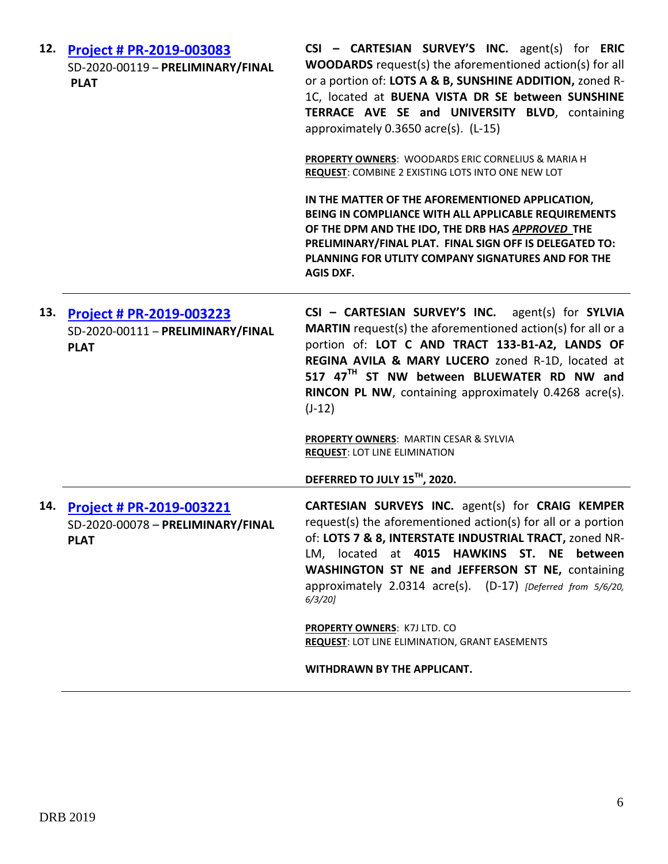| 12. | Project # PR-2019-003083<br>SD-2020-00119 - PRELIMINARY/FINAL<br><b>PLAT</b>        | CSI - CARTESIAN SURVEY'S INC. agent(s) for ERIC<br><b>WOODARDS</b> request(s) the aforementioned action(s) for all<br>or a portion of: LOTS A & B, SUNSHINE ADDITION, zoned R-<br>1C, located at BUENA VISTA DR SE between SUNSHINE<br>TERRACE AVE SE and UNIVERSITY BLVD, containing<br>approximately 0.3650 acre(s). (L-15)<br>PROPERTY OWNERS: WOODARDS ERIC CORNELIUS & MARIA H<br>REQUEST: COMBINE 2 EXISTING LOTS INTO ONE NEW LOT<br>IN THE MATTER OF THE AFOREMENTIONED APPLICATION,<br>BEING IN COMPLIANCE WITH ALL APPLICABLE REQUIREMENTS<br>OF THE DPM AND THE IDO, THE DRB HAS APPROVED THE |
|-----|-------------------------------------------------------------------------------------|----------------------------------------------------------------------------------------------------------------------------------------------------------------------------------------------------------------------------------------------------------------------------------------------------------------------------------------------------------------------------------------------------------------------------------------------------------------------------------------------------------------------------------------------------------------------------------------------------------|
|     |                                                                                     | PRELIMINARY/FINAL PLAT. FINAL SIGN OFF IS DELEGATED TO:<br>PLANNING FOR UTLITY COMPANY SIGNATURES AND FOR THE<br><b>AGIS DXF.</b>                                                                                                                                                                                                                                                                                                                                                                                                                                                                        |
| 13. | Project # PR-2019-003223<br>SD-2020-00111 - PRELIMINARY/FINAL<br><b>PLAT</b>        | CSI - CARTESIAN SURVEY'S INC. agent(s) for SYLVIA<br><b>MARTIN</b> request(s) the aforementioned action(s) for all or a<br>portion of: LOT C AND TRACT 133-B1-A2, LANDS OF<br>REGINA AVILA & MARY LUCERO zoned R-1D, located at<br>517 47 <sup>TH</sup> ST NW between BLUEWATER RD NW and<br>RINCON PL NW, containing approximately 0.4268 acre(s).<br>$(J-12)$                                                                                                                                                                                                                                          |
|     |                                                                                     | <b>PROPERTY OWNERS: MARTIN CESAR &amp; SYLVIA</b><br><b>REQUEST: LOT LINE ELIMINATION</b>                                                                                                                                                                                                                                                                                                                                                                                                                                                                                                                |
|     |                                                                                     | DEFERRED TO JULY 15 <sup>TH</sup> , 2020.                                                                                                                                                                                                                                                                                                                                                                                                                                                                                                                                                                |
| 14. | <b>Project # PR-2019-003221</b><br>SD-2020-00078 - PRELIMINARY/FINAL<br><b>PLAT</b> | CARTESIAN SURVEYS INC. agent(s) for CRAIG KEMPER<br>request(s) the aforementioned action(s) for all or a portion<br>of: LOTS 7 & 8, INTERSTATE INDUSTRIAL TRACT, zoned NR-<br>LM, located at 4015 HAWKINS ST. NE between<br>WASHINGTON ST NE and JEFFERSON ST NE, containing<br>approximately 2.0314 acre(s). (D-17) [Deferred from 5/6/20,<br>$6/3/20$ ]                                                                                                                                                                                                                                                |
|     |                                                                                     | <b>PROPERTY OWNERS: K7J LTD. CO</b><br><b>REQUEST: LOT LINE ELIMINATION, GRANT EASEMENTS</b>                                                                                                                                                                                                                                                                                                                                                                                                                                                                                                             |
|     |                                                                                     | WITHDRAWN BY THE APPLICANT.                                                                                                                                                                                                                                                                                                                                                                                                                                                                                                                                                                              |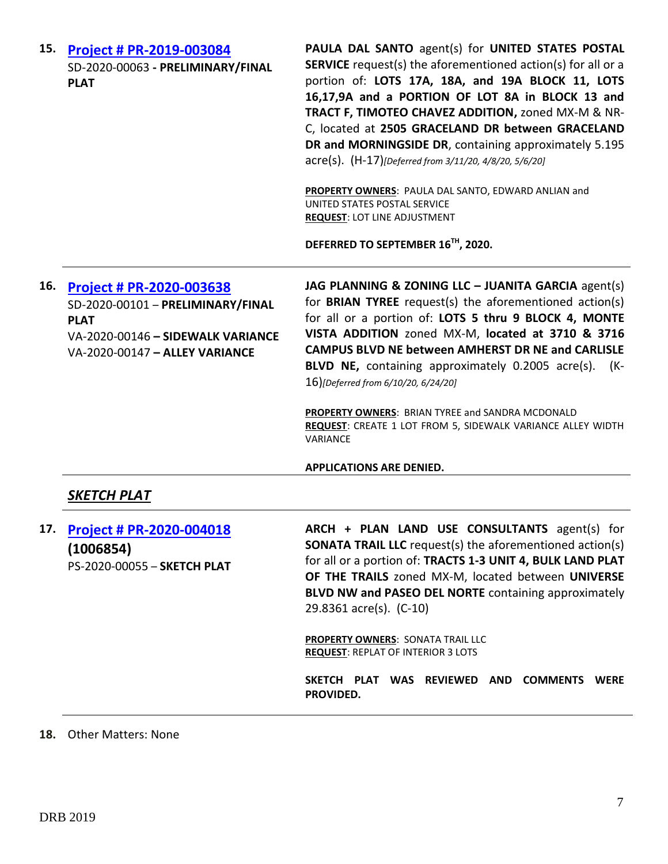| 15. | <b>Project # PR-2019-003084</b><br>SD-2020-00063 - PRELIMINARY/FINAL<br><b>PLAT</b>                                                                 | PAULA DAL SANTO agent(s) for UNITED STATES POSTAL<br><b>SERVICE</b> request(s) the aforementioned action(s) for all or a<br>portion of: LOTS 17A, 18A, and 19A BLOCK 11, LOTS<br>16,17,9A and a PORTION OF LOT 8A in BLOCK 13 and<br>TRACT F, TIMOTEO CHAVEZ ADDITION, zoned MX-M & NR-<br>C, located at 2505 GRACELAND DR between GRACELAND<br>DR and MORNINGSIDE DR, containing approximately 5.195<br>acre(s). (H-17)[Deferred from 3/11/20, 4/8/20, 5/6/20]<br>PROPERTY OWNERS: PAULA DAL SANTO, EDWARD ANLIAN and<br>UNITED STATES POSTAL SERVICE<br><b>REQUEST: LOT LINE ADJUSTMENT</b><br>DEFERRED TO SEPTEMBER 16TH, 2020. |
|-----|-----------------------------------------------------------------------------------------------------------------------------------------------------|------------------------------------------------------------------------------------------------------------------------------------------------------------------------------------------------------------------------------------------------------------------------------------------------------------------------------------------------------------------------------------------------------------------------------------------------------------------------------------------------------------------------------------------------------------------------------------------------------------------------------------|
| 16. | Project # PR-2020-003638<br>SD-2020-00101 - PRELIMINARY/FINAL<br><b>PLAT</b><br>VA-2020-00146 - SIDEWALK VARIANCE<br>VA-2020-00147 - ALLEY VARIANCE | JAG PLANNING & ZONING LLC - JUANITA GARCIA agent(s)<br>for <b>BRIAN TYREE</b> request(s) the aforementioned action(s)<br>for all or a portion of: LOTS 5 thru 9 BLOCK 4, MONTE<br>VISTA ADDITION zoned MX-M, located at 3710 & 3716<br><b>CAMPUS BLVD NE between AMHERST DR NE and CARLISLE</b><br>BLVD NE, containing approximately 0.2005 acre(s).<br>(K-<br>16)[Deferred from 6/10/20, 6/24/20]<br>PROPERTY OWNERS: BRIAN TYREE and SANDRA MCDONALD<br><b>REQUEST:</b> CREATE 1 LOT FROM 5, SIDEWALK VARIANCE ALLEY WIDTH<br>VARIANCE<br><b>APPLICATIONS ARE DENIED.</b>                                                        |
|     | SKETCH PLAT                                                                                                                                         |                                                                                                                                                                                                                                                                                                                                                                                                                                                                                                                                                                                                                                    |
| 17. | <b>Project # PR-2020-004018</b><br>(1006854)<br>PS-2020-00055 - SKETCH PLAT                                                                         | ARCH + PLAN LAND USE CONSULTANTS agent(s) for<br><b>SONATA TRAIL LLC</b> request(s) the aforementioned action(s)<br>for all or a portion of: TRACTS 1-3 UNIT 4, BULK LAND PLAT<br>OF THE TRAILS zoned MX-M, located between UNIVERSE<br>BLVD NW and PASEO DEL NORTE containing approximately<br>29.8361 acre(s). (C-10)<br>PROPERTY OWNERS: SONATA TRAIL LLC<br><b>REQUEST: REPLAT OF INTERIOR 3 LOTS</b><br>SKETCH PLAT WAS REVIEWED AND COMMENTS WERE<br>PROVIDED.                                                                                                                                                               |

### **18.** Other Matters: None